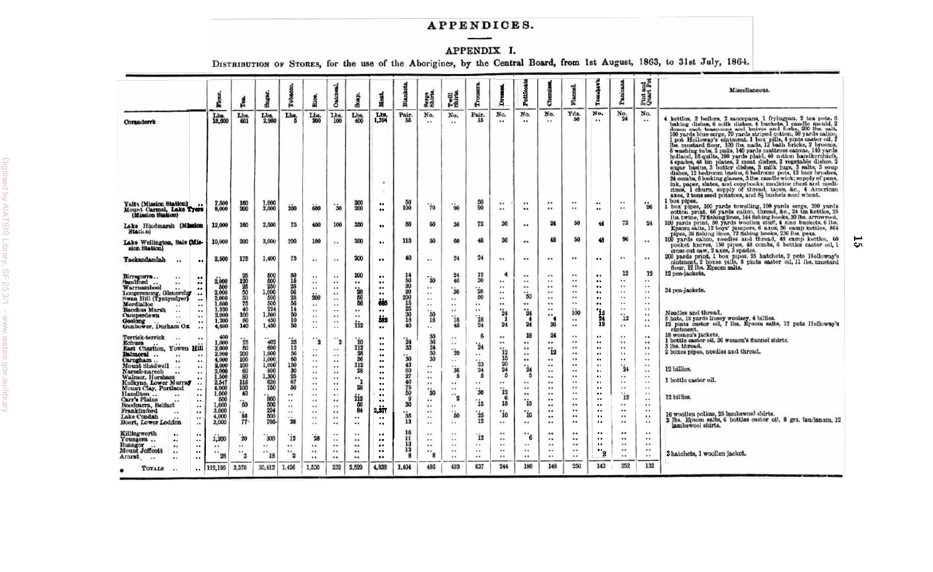# APPENDICES.

APPENDIX I. DISTRIBUTION OF STORES, for the use of the Aborigines, by the Central Board, from 1st August, 1863, to 31st July, 1864.

|                                                                                                                                                                                                                                                                                                                                                                                                                                                                                       | Flour                                                                                                                                                               | й                                                                                                                                   | Sugar.                                                                                                                                                          | Tobao                                                                                                                   | Rio                                                                                                                                                                             | Oatm                                                                                                                                                  | ā                                                                           |                                                                                                                                                                                                                                                                                                                  | <b>Blazi</b>                                                                                                            | <b>Rerge</b><br>Shirta                                                                                                                 | 閮                                                                                                                         | å                                                                                                   | δ                                                                                                                     | Pettion                                                                                           | පි                                                                                                                                 |                                                                              | å                                                                                                                                                                                                                                                              |                                                                                                                   | Pint and<br>Quart Pot                                                                                                                                                                 | Miscellaneous.                                                                                                                                                                                                                                                                                                                                                                                                                                                                                                                                                                                                                                                                                                                                                                                                                                                                                                                                |
|---------------------------------------------------------------------------------------------------------------------------------------------------------------------------------------------------------------------------------------------------------------------------------------------------------------------------------------------------------------------------------------------------------------------------------------------------------------------------------------|---------------------------------------------------------------------------------------------------------------------------------------------------------------------|-------------------------------------------------------------------------------------------------------------------------------------|-----------------------------------------------------------------------------------------------------------------------------------------------------------------|-------------------------------------------------------------------------------------------------------------------------|---------------------------------------------------------------------------------------------------------------------------------------------------------------------------------|-------------------------------------------------------------------------------------------------------------------------------------------------------|-----------------------------------------------------------------------------|------------------------------------------------------------------------------------------------------------------------------------------------------------------------------------------------------------------------------------------------------------------------------------------------------------------|-------------------------------------------------------------------------------------------------------------------------|----------------------------------------------------------------------------------------------------------------------------------------|---------------------------------------------------------------------------------------------------------------------------|-----------------------------------------------------------------------------------------------------|-----------------------------------------------------------------------------------------------------------------------|---------------------------------------------------------------------------------------------------|------------------------------------------------------------------------------------------------------------------------------------|------------------------------------------------------------------------------|----------------------------------------------------------------------------------------------------------------------------------------------------------------------------------------------------------------------------------------------------------------|-------------------------------------------------------------------------------------------------------------------|---------------------------------------------------------------------------------------------------------------------------------------------------------------------------------------|-----------------------------------------------------------------------------------------------------------------------------------------------------------------------------------------------------------------------------------------------------------------------------------------------------------------------------------------------------------------------------------------------------------------------------------------------------------------------------------------------------------------------------------------------------------------------------------------------------------------------------------------------------------------------------------------------------------------------------------------------------------------------------------------------------------------------------------------------------------------------------------------------------------------------------------------------|
| Coranderrk                                                                                                                                                                                                                                                                                                                                                                                                                                                                            | Lbs.<br>18,600                                                                                                                                                      | Lbs.<br>601                                                                                                                         | $L_{2,980}^{Lb.}$                                                                                                                                               | Lbs.<br>в                                                                                                               | $L_{200}^{bs}$                                                                                                                                                                  | Lbs.<br>100                                                                                                                                           | Lbs.<br>400                                                                 | Lbs.<br>1,394                                                                                                                                                                                                                                                                                                    | Pair.                                                                                                                   | No.                                                                                                                                    | No.<br>$\ddot{\phantom{a}}$                                                                                               | Pair.<br>15                                                                                         | No.                                                                                                                   | No.<br>                                                                                           | No.                                                                                                                                | Yds.<br>50                                                                   | No.<br>$\bullet$ $\bullet$                                                                                                                                                                                                                                     | $\frac{N_{0}}{24}$                                                                                                | No.<br>                                                                                                                                                                               | 4 kettles, 2 boilers, 2 saucepans, 1 fryingpan, 2 tea pots, 6 baking dishes, 6 milk dishes, 4 buckets, 1 candle mould, 2<br>dozen each teaspoons and knives and forks, 200 lbs. salt,<br>100 yards blue serge, 70 yards striped cotton, 50 yards calico, 1 pot Holloway's ointment, 1 box pills, 4 pints castor oil, 7<br>1 pos Houcaways outcomes, a foot puns, a pinta concor car, the mass case of the mass of $\frac{1}{2}$ bath bricks, 2 brooms, 6 washing tubs, 2 puls, 140 yards naturess canvas, 140 yards holland, 16 quilts, 100 yards puls, 4 sp<br>sugar basins, 3 butter dishes, 3 milk jugs, 3 salts, 3 soup dishes, 12 bedroom basins, 6 bedroom pots, 12 hair brushes,<br>24 combs, 6 looking glasses, 3 lbs. candle wick; supply of pens,<br>ink, paper, slates, and copybooks; medicine chest and medi-<br>cines, 1 churn, supply of thread, tapes, &c., 4 American axes, 2 tons seed potatoes, and 81 bushels seed wheat. |
| Yelt: (Mission Station)<br>Mount Carmel, Lake Trees<br>(Mission Station)                                                                                                                                                                                                                                                                                                                                                                                                              | 7,500<br>8,000                                                                                                                                                      | 160<br>200                                                                                                                          | 1,000<br>2,000                                                                                                                                                  | 200                                                                                                                     | 600                                                                                                                                                                             | $\ddot{\bm{30}}$                                                                                                                                      | 200<br>200                                                                  | $\bullet$ .<br>$\bullet\bullet$                                                                                                                                                                                                                                                                                  | 100                                                                                                                     | 70                                                                                                                                     | $66^{\circ}$                                                                                                              | 50<br>90                                                                                            | $\cdots$<br>$\cdots$                                                                                                  | <br>                                                                                              | $\ddot{\phantom{1}}$<br>$\bullet\,\bullet$                                                                                         | <br>                                                                         | $\cdot$ .<br>$\bullet$ .                                                                                                                                                                                                                                       | $\ddot{\phantom{1}}$<br>$\ddot{\phantom{1}}$                                                                      | $"$ is                                                                                                                                                                                | box pipes.<br>box pipes, 100 yards towelling, 100 yards serge, 200 yards<br>cotton print, 60 yards calico, thread, &c., 24 tin kettles, 25<br>lbs. twine, 72 fishing lines, 144 fishing hooks, 30 lbs. arrowroot.                                                                                                                                                                                                                                                                                                                                                                                                                                                                                                                                                                                                                                                                                                                             |
| Lake Hindmarsh (Mission<br>Station)                                                                                                                                                                                                                                                                                                                                                                                                                                                   | 12,000                                                                                                                                                              | 160                                                                                                                                 | 2,500                                                                                                                                                           | 75                                                                                                                      | 400                                                                                                                                                                             | 100                                                                                                                                                   | 350                                                                         | $\bullet \bullet$                                                                                                                                                                                                                                                                                                | 80                                                                                                                      | 60                                                                                                                                     | 36                                                                                                                        | 72                                                                                                  | 36                                                                                                                    |                                                                                                   | 24                                                                                                                                 | 50                                                                           | 44                                                                                                                                                                                                                                                             | 72                                                                                                                | 24                                                                                                                                                                                    | 100 yards print, 50 yards weeden start, 4 zinc buckets, 6 lbs.<br>200 yards print, 50 yards weeden start, 4 zinc buckets, 6 lbs.<br>200 yards print, 50 yards weeden, 56 xces, 59 camp xceloo, 864<br>100 yards calico, needles and                                                                                                                                                                                                                                                                                                                                                                                                                                                                                                                                                                                                                                                                                                           |
| Lake Wellington, Sale (Mis-<br>sion Station)                                                                                                                                                                                                                                                                                                                                                                                                                                          | 10,000                                                                                                                                                              | 200                                                                                                                                 | 3,000                                                                                                                                                           | 200                                                                                                                     | 100                                                                                                                                                                             | $\bullet\bullet$                                                                                                                                      | 200                                                                         | $\bullet\bullet$                                                                                                                                                                                                                                                                                                 | 110                                                                                                                     | 50                                                                                                                                     | 60                                                                                                                        | 48                                                                                                  | 36                                                                                                                    |                                                                                                   | 48                                                                                                                                 | 50                                                                           | 48                                                                                                                                                                                                                                                             | 96                                                                                                                | $\bullet\bullet$                                                                                                                                                                      | cross-cut saw, 2 axes, 3 spades.                                                                                                                                                                                                                                                                                                                                                                                                                                                                                                                                                                                                                                                                                                                                                                                                                                                                                                              |
| Yackandandah<br>$\cdots$<br>                                                                                                                                                                                                                                                                                                                                                                                                                                                          | 2,500                                                                                                                                                               | 175                                                                                                                                 | 1,400                                                                                                                                                           | 75                                                                                                                      | $\cdots$                                                                                                                                                                        | $\ddot{\phantom{1}}$                                                                                                                                  | 200                                                                         |                                                                                                                                                                                                                                                                                                                  | 40                                                                                                                      |                                                                                                                                        | $^{24}$                                                                                                                   | 24                                                                                                  |                                                                                                                       |                                                                                                   | $\cdots$                                                                                                                           | $\cdots$                                                                     | $\ddot{\phantom{a}}$                                                                                                                                                                                                                                           |                                                                                                                   |                                                                                                                                                                                       | 200 yards print, 1 box pipes, 25 hatchets, 2 pots Holloway's cintment, 2 boxes pills, 8 pints castor oil, 11 lbs. mustard<br>flour, 12 lbs. Epsom salts.                                                                                                                                                                                                                                                                                                                                                                                                                                                                                                                                                                                                                                                                                                                                                                                      |
| Birregurra<br>Sandford<br><br>$\bullet\bullet$<br><br><br>Warrnambool<br>$\cdot\cdot$<br>Longerenong, Glenorchy<br><br>Swan Hill (Tyntyndyer)<br><br>Mordialloc<br>٠,<br>Bacchus Marsh<br>$\ddot{\phantom{0}}$<br>Camperdown<br>$\ddot{\phantom{0}}$                                                                                                                                                                                                                                  | 2,000<br>500<br>2,000<br>2,000<br>1,600<br>2,000                                                                                                                    | $\frac{25}{120}$<br>$\frac{25}{25}$<br>50<br>$^{75}_{40}$<br>100                                                                    | 500<br>$\begin{array}{c} 500 \\ 250 \\ 250 \\ 1,000 \\ 500 \end{array}$<br>500<br>$\frac{224}{1,500}$                                                           | 50<br>15<br>$\frac{25}{56}$<br>28<br>56<br>14<br>50                                                                     | $\pm 1$<br>$\cdots$<br>$\cdots$<br>200<br><br>$\cdots$<br>$\cdots$                                                                                                              | $\bullet$ $\bullet$<br>$\cdots$<br><br>$\cdots$<br>$\cdots$<br>$\bullet$<br>$\cdots$<br>$\cdots$                                                      | 100<br><br>$\frac{3}{56}$<br>56<br><br>$\cdots$                             | $\bullet \bullet$<br>$\bullet \bullet$<br>$\bullet\bullet$<br>$\bullet\bullet$<br>ėås<br>$\ddot{\phantom{0}}$<br>šė2                                                                                                                                                                                             | 14<br>30<br>30<br>30<br>200<br>15<br>25<br>30<br>18                                                                     | `ŝ0<br>$\ddot{\phantom{1}}$<br>$\cdots$<br><br>$\cdots$<br>50                                                                          | 24<br>40<br>$^{\circ}$ 36<br>$\ddot{\phantom{1}}$<br>$\cdots$<br>$\ddot{ }$<br>'is                                        | 12<br>30<br>$\dot{2}8$<br>50<br>÷<br><br>`is                                                        | $\ddot{\bullet}$<br><br>$\cdots$<br>$\cdots$<br><br><br>$^{\circ}_{24}$<br>$\mathbf{1}$                               | <br><br><br>$\ddot{\phantom{a}}$ 50<br><br>$\mathbf{\dot{24}}$                                    | <br>$\cdots$<br><br>$\cdots$<br><br><br><br><br>4                                                                                  | <br><br><br><br><br><br>100                                                  | $\cdots$<br>$\ddotsc$<br>$\bullet\bullet$<br>$\bullet\,\bullet$<br>$\cdot \cdot$<br>$\bullet$ .<br>$\frac{12}{24}$                                                                                                                                             | 12<br><br><br>$\cdots$<br><br>$\cdots$<br><br>i <sub>2</sub>                                                      | 12<br>$\cdots$<br>$\cdots$<br>$\cdots$<br>$\cdots$<br>$\cdots$<br>$\cdots$<br>$\cdots$                                                                                                | 12 pea-jackets.<br>24 pea-jackets.<br>Needles and thread.<br>5 hats, 18 yards linsey woolsey, 4 billies.                                                                                                                                                                                                                                                                                                                                                                                                                                                                                                                                                                                                                                                                                                                                                                                                                                      |
| Geelong<br>$\cdot$<br>Gunbower, Durham Ox<br>Terrick-terrick<br>Echuca<br><b>East Charlton, Yowen Hill</b><br>Balmoral<br>$\ddot{\phantom{1}}$<br>$\cdot$<br>Carngham<br><br>Mount Shadwell<br><br>Nareeb-nareeb<br><br>Walmer, Horsham<br><br>Kulkyne, Lower Murray<br>$\cdot \cdot$<br>Mount Clay, Portland<br><br>Hamilton<br><br>Carr's Plains<br>$\cdot$ .<br>Boodcarra, Belfast<br>$\cdots$<br>Franklinford<br><br>Lake Condah<br>$\cdot$ .<br>Boort, Lower Loddon<br>$\ddotsc$ | 1,200<br>4,600<br>400<br>1,000<br>2,000<br>2,000<br>4,000<br>2,000<br>3,000<br>3,000<br>1,500<br>2,547<br>4.000<br>1,000<br>500<br>1,000<br>3,000<br>4.000<br>3,000 | 80<br>140<br>$\frac{75}{50}$<br>200<br>100<br>$\frac{100}{60}$<br>116<br>100<br>40<br>60<br>$\begin{array}{c} 88 \\ 77 \end{array}$ | 450<br>1,450<br>$\begin{array}{c} 402 \\ 600 \\ 1,000 \\ 1,000 \\ 1,000 \\ 800 \\ 1,300 \\ 638 \\ 750 \\ \end{array}$<br>860<br>$\frac{500}{224}$<br>500<br>766 | 10<br>50<br>$\frac{25}{12}$<br>60<br>150<br>30<br>67<br>67<br>50<br><br>$\cdots$<br><br>$\cdots$<br>$\mathbf{\dot{28}}$ | $\cdots$<br>$\cdots$<br>$\cdot \cdot_2$<br>$\cdots$<br>$\cdots$<br><br>$\cdots$<br>$\cdots$<br><br>$\ldots$<br>$\bullet\bullet$<br><br>$\cdots$<br><br>$\cdots$<br><br>$\cdots$ | $\bullet\bullet$<br><br>$\cdot$ .<br><br>$\cdots$<br>$\cdots$<br><br>$\ddot{\phantom{0}}$<br><br>$\cdot$<br>$\cdots$<br>$\bullet$<br><br><br><br><br> | iia<br>'io<br>112<br>28<br>56<br>112<br>28<br>28<br>112<br>56<br>84<br><br> | $\bullet\bullet$<br>$\bullet\bullet$<br>$\ddot{\phantom{0}}$<br>$\bullet\bullet$<br>$\ddot{\phantom{a}}$<br>$\bullet\bullet$<br>$\bullet\bullet$<br>$\bullet\bullet$<br>$\bullet \bullet$<br>$\bullet\bullet$<br>$\bullet\bullet$<br>$\bullet\bullet$<br>$\ddot{\phantom{0}}$<br><br>2,377<br>$\cdot$<br>$\cdot$ | 40<br>$^{\circ}_{24}$<br>33<br>$^{\circ}$ 30<br>43<br>60<br>2740<br>75<br>50<br>$\overline{9}$<br>30<br>$\frac{35}{12}$ | 18<br>$\cdots$<br>30<br>36<br>24<br>50<br>30<br><br><br><br><br>$\cdots$<br>30<br><br>$\cdots$<br>$\ddot{\phantom{1}}$<br>$\cdots$<br> | 48<br><br>$\cdots$<br>$^{\circ}_{20}$<br>$\cdots$<br>36<br>5<br><br><br>$\cdot \cdot_2$<br>$\cdots$<br>$\cdots$<br>50<br> | $^{24}$<br>6<br>$\mathbf{\dot{24}}$<br><br>$\frac{23}{24}$<br>5<br><br>`ŝo<br>ʻis<br>$i_{25}$<br>12 | 24<br><br><br>$^{\circ}$ i2<br>15<br>$\frac{20}{24}$<br>5<br>$\cdots$<br>$\mathbf{\dot{12}}$<br>15<br>'io<br>$\cdots$ | 24<br>18<br><br><br>$\cdots$<br><br>24<br>5<br>$\cdots$<br>$\cdots$<br><br>ʻi5<br>"io<br>$\cdots$ | 36<br>24<br><br>$^{\circ}$ i2<br><br><br>$\bullet\bullet$<br><br><br>$\ddot{\phantom{a}}$<br><br><br><br>$\bullet$<br><br>$\cdots$ | <br><br><br><br><br><br>$\cdots$<br><br><br><br><br><br><br><br><br><br><br> | $\ddot{\phantom{0}}$<br>$\ddotsc$<br>$\ddot{\phantom{0}}$<br>$\cdot \cdot$<br>$\ddot{\phantom{a}}$<br>$\ddotsc$<br>$\ddot{\phantom{0}}$<br><br>$\ddot{\phantom{0}}$<br><br><br>$\ddot{\phantom{0}}$<br>$\cdot$<br>$\bullet\bullet$<br>$\bullet$ .<br>$\ddotsc$ | <br>$\cdots$<br>$\ddot{\phantom{1}}$<br><br><br><br>$\mathbf{\dot{24}}$<br><br>$\cdots$<br><br>12<br><br><br><br> | $\cdots$<br><br>$\bullet$<br>$\cdots$<br>$\cdots$<br><br>$\cdots$<br>$\cdots$<br>$\cdots$<br>$\cdots$<br>$\cdots$<br>$\cdots$<br><br><br>$\cdots$<br>$\cdots$<br>$\cdots$<br>$\cdots$ | 12 pints castor oil, 7 lbs. Epsom salts, 12 pots Holloway's<br>ointment.<br>18 women's jackets.<br>1 bottle castor oil, 36 women's flannel shirts.<br>3 lbs. thread.<br>2 boxes pipes, needles and thread.<br>12 billies.<br>1 bottle castor oil.<br>12 billies.<br>10 woollen polkas, 25 lambswool shirts.<br>3 Ibs. Epsom salts, 6 bottles castor oil, 8 grs. laudanum, 12                                                                                                                                                                                                                                                                                                                                                                                                                                                                                                                                                                  |
| Killingworth<br>$\bullet$<br>$\bullet\bullet$<br>Youngers<br><br>$\cdot$ .<br>Buangor<br>$\cdot \cdot$<br><br>Mount Jeffcott<br>$\ddotsc$<br><br>Ararat.<br>$\cdots$<br>$\bullet$<br><b>TOTALS</b><br>$\cdots$<br>$^{\bullet}$                                                                                                                                                                                                                                                        | 1,200<br><br><br>28<br>112,195                                                                                                                                      | $\dot{20}$<br>$\cdots$<br><br>$\mathbf{3}$<br>3,370                                                                                 | 300<br>$\cdots$<br>$\cdot$ 18<br>30,412                                                                                                                         | `i2<br>$\cdots$<br>я<br>1,426                                                                                           | $\mathbf{\dot{28}}$<br><br>$\cdots$<br>$\cdot$<br>1,530                                                                                                                         | <br>$\cdots$<br><br>$\cdots$<br><br>232                                                                                                               | $\cdots$<br>$\cdots$<br>$\cdots$<br>$\cdots$<br>$\cdots$<br>2,529           | $\bullet\bullet$<br>$\cdot$<br>$\ddot{\phantom{0}}$<br><br>$\ddot{\phantom{a}}$<br>4,838                                                                                                                                                                                                                         | 16<br>11<br>12<br>$\frac{12}{8}$<br>1,404                                                                               | <br><br><br>$\cdot\cdot_{\mathbf{g}}$<br>486                                                                                           | <br><br>$\cdots$<br><br><br>489                                                                                           | 12<br><br>$\cdots$<br><br>637                                                                       | <br>$\cdots$<br><br>$\cdots$<br>$\cdots$<br>244                                                                       | -6<br>$\bullet$ $\bullet$<br><br><br>180                                                          | <br><br><br>$\cdots$<br><br>148                                                                                                    | <br><br>$\ddot{\phantom{1}}$<br>$\cdots$<br><br>250                          | $\ddot{\phantom{0}}$<br>$\cdot \cdot$<br>$\bullet\bullet$<br>$\cdot$ <sub>2</sub><br>142                                                                                                                                                                       | <br><br>$-1$<br><br>$\cdots$<br>252                                                                               | $\cdots$<br>$\cdots$<br>$\cdots$<br><br><br>132                                                                                                                                       | lambswool shirts.<br>3 hatchets, 1 woollen jacket.                                                                                                                                                                                                                                                                                                                                                                                                                                                                                                                                                                                                                                                                                                                                                                                                                                                                                            |

 $15$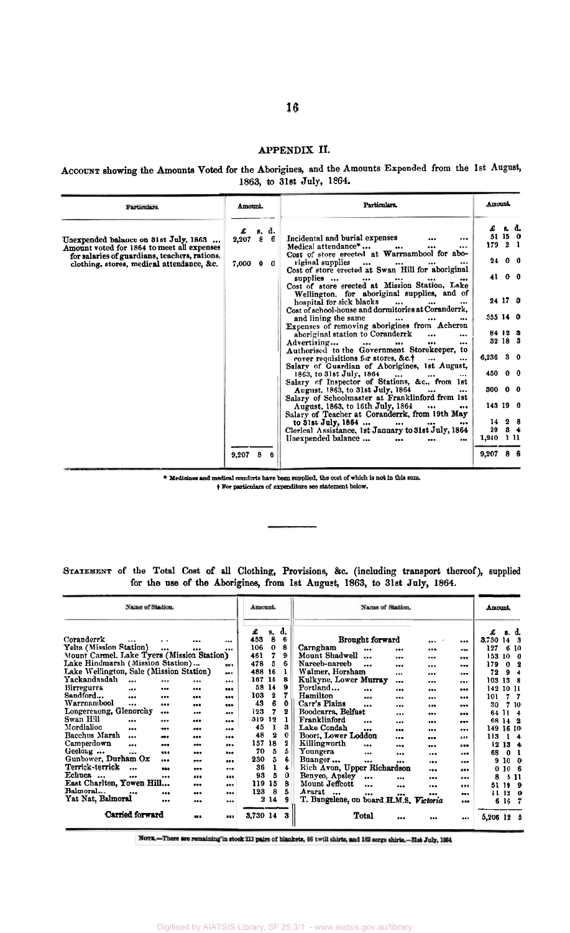## **APPENDIX 11.**

ACCOUNT showing the Amounts Voted for the Aborigines, and the Amounts Expended from the 1st August, 1863, to 31et July, 1864.

| Particulars.                                                                                                                             | Amount. |                         | Particulars.                                                                                                                                                                  | Amount.         |                    |  |
|------------------------------------------------------------------------------------------------------------------------------------------|---------|-------------------------|-------------------------------------------------------------------------------------------------------------------------------------------------------------------------------|-----------------|--------------------|--|
| Unexpended balance on 31st July, 1863                                                                                                    | £       | s. d.<br>$2,207$ 8 6    | Incidental and burial expenses<br><br>Medical attendance*<br>$\cdots$<br>$\cdots$                                                                                             | 179 2 1         | £ s. d.<br>51 15 0 |  |
| Amount voted for 1864 to meet all expenses<br>for salaries of guardians, teachers, rations.<br>clothing, stores, medical attendance, &c. |         | $7,000 \quad 0 \quad 0$ | Cost of store erected at Warrnambool for abo-<br>riginal supplies        Cost of store erected at Swan Hill for aboriginal                                                    |                 | 24 0 0             |  |
|                                                                                                                                          |         |                         | supplies<br>$\bullet \bullet \bullet$ . The set of $\bullet$<br>$\cdots$<br><br>Cost of store erected at Mission Station, Lake<br>Wellington, for aboriginal supplies, and of |                 | 4100               |  |
|                                                                                                                                          |         |                         | hospital for sick blacks<br>$\cdots$ $\cdots$<br><br>Cost of school-house and dormitories at Coranderrk,                                                                      |                 | 24 17 0            |  |
|                                                                                                                                          |         |                         | and lining the same<br>$\cdots$<br>$\cdots$<br>Expenses of removing aborigines from Acheron                                                                                   | 355 14 0        |                    |  |
|                                                                                                                                          |         |                         | aboriginal station to Coranderrk<br>$\cdots$<br>Advertising<br>$\cdots$<br><br>$\bullet\bullet\bullet\qquad \qquad$<br><br>Authorised to the Government Storekeeper, to       |                 | 84 12 3<br>32 18 3 |  |
|                                                                                                                                          |         |                         | cover requisitions for stores, &c.†<br>$\cdots$<br>Salary of Guardian of Aborigines, 1st August,                                                                              | $6,236$ 3 0     |                    |  |
|                                                                                                                                          |         |                         | $1863$ , to 31st July, $1864$<br>Salary of Inspector of Stations, &c., from 1st                                                                                               | 450 0 0         |                    |  |
|                                                                                                                                          |         |                         | August, 1863, to 31st July, 1864<br>$\cdots$<br>$\cdots$<br>Salary of Schoolmaster at Franklinford from 1st                                                                   | $300 \t 0 \t 0$ |                    |  |
|                                                                                                                                          |         |                         | August, 1863, to 16th July, 1864<br>$\ddotsc$<br>$\cdots$<br>Salary of Teacher at Coranderrk, from 19th May                                                                   | 143 19 0        | 14 2 8             |  |
|                                                                                                                                          |         |                         | to $3!st$ July, $1864$<br>$\bullet$ .<br><br>Clerical Assistance, 1st January to 31st July, 1864                                                                              |                 | 29 3 4             |  |
|                                                                                                                                          |         |                         | Unexpended balance<br><br>                                                                                                                                                    | $1,240$ 1 11    |                    |  |
|                                                                                                                                          | 9.207   | -8                      |                                                                                                                                                                               | $9,207$ 8       |                    |  |

**Medicines md medical oomforts hsve beem mpplied, the** *cost* **of which in not in** thin nua

**STATENEXT** of the Total Cost of all Clothing, Provisions, **&c.** (including transport thereof), supplied for **the** use of the Aborigines, from 1st August, 1863, to 31st July, **1864.** 

|                                                                                                                                                                                                                                                                                                                                                                                                                                                                                                                                                                                                                                                               |                                                                                                                                                                                     |                                                                                                                                                                                                                                                                                                                                                                                                       | • Medicines and medical comforts have been supplied, the cost of which is not in this sum.<br>+ For particulars of expenditure see statement below.                                                                                                                                                                                                                                                                                                                                                                                                                                                                                                                                                                                                                                              |                                                                                                                                                                                                                                                                                                                                                           |
|---------------------------------------------------------------------------------------------------------------------------------------------------------------------------------------------------------------------------------------------------------------------------------------------------------------------------------------------------------------------------------------------------------------------------------------------------------------------------------------------------------------------------------------------------------------------------------------------------------------------------------------------------------------|-------------------------------------------------------------------------------------------------------------------------------------------------------------------------------------|-------------------------------------------------------------------------------------------------------------------------------------------------------------------------------------------------------------------------------------------------------------------------------------------------------------------------------------------------------------------------------------------------------|--------------------------------------------------------------------------------------------------------------------------------------------------------------------------------------------------------------------------------------------------------------------------------------------------------------------------------------------------------------------------------------------------------------------------------------------------------------------------------------------------------------------------------------------------------------------------------------------------------------------------------------------------------------------------------------------------------------------------------------------------------------------------------------------------|-----------------------------------------------------------------------------------------------------------------------------------------------------------------------------------------------------------------------------------------------------------------------------------------------------------------------------------------------------------|
|                                                                                                                                                                                                                                                                                                                                                                                                                                                                                                                                                                                                                                                               |                                                                                                                                                                                     |                                                                                                                                                                                                                                                                                                                                                                                                       | STATEMENT of the Total Cost of all Clothing, Provisions, &c. (including transport thereof), supplied<br>for the use of the Aborigines, from 1st August, 1863, to 31st July, 1864.                                                                                                                                                                                                                                                                                                                                                                                                                                                                                                                                                                                                                |                                                                                                                                                                                                                                                                                                                                                           |
| Name of Station.                                                                                                                                                                                                                                                                                                                                                                                                                                                                                                                                                                                                                                              |                                                                                                                                                                                     | Amount.                                                                                                                                                                                                                                                                                                                                                                                               | Name of Station.                                                                                                                                                                                                                                                                                                                                                                                                                                                                                                                                                                                                                                                                                                                                                                                 | Amount.                                                                                                                                                                                                                                                                                                                                                   |
| Coranderrk<br><br>Yelta (Mission Station)<br><br>Mount Carmel, Lake Tyers (Mission Station)<br>Lake Hindmarsh (Mission Station)<br>Lake Wellington, Sale (Mission Station)<br>Yackandandah<br><br><br><b>Birregurra</b><br>$-0.8$<br><br>Sandford<br><br><br>Warrnambool<br>$\ddotsc$<br><br>Longerenong, Glenorchy<br><br>Swan Hill<br><br><br>Mordialloc<br>$\cdots$<br>$\bullet\bullet\bullet$<br>Bacchus Marsh<br><br>$\bullet\bullet\bullet$<br>Camperdown<br><br>---<br>Geelong<br><br>---<br>Gunbower, Durham Ox<br><br>Terrick-terrick<br>$\ddotsc$<br>---<br>Echuca<br>---<br><br>East Charlton. Yowen Hill<br>Balmoral<br><br>Yat Nat. Balmoral<br> | <br><br>$\cdots$<br>$\cdots$<br>---<br>$\bullet$<br><br><br><br><br><br><br><br><br><br><br><br><br><br><br><br><br><br><br><br><br><br><br>---<br><br><br><br><br><br><br><br><br> | d,<br>£<br>s.<br>453<br>8<br>6<br>106<br>$\bf{0}$<br>8<br>7<br>9<br>461<br>5<br>478<br>6<br>488<br>16<br>1<br>167 15<br>8<br>58 14<br>9<br>103<br>$\bf{2}$<br>7<br>6<br>43<br>0<br>7<br>123<br>2<br>319 12<br>1<br>45<br>1<br>3<br>$\boldsymbol{2}$<br>48<br>0<br>157 18<br>2<br>70<br>5<br>5<br>230<br>5<br>6<br>$\mathbf{1}$<br>36<br>4<br>93<br>5<br>0<br>119 15<br>8<br>5<br>123<br>8<br>214<br>9 | Brought forward<br>$\cdots$<br><br>Carngham<br><br><br><br>$\cdots$<br>Mount Shadwell<br><br><br>$\cdots$<br>Nareeb-nareeb<br><br><br><br><br>Walmer, Horsham<br><br><br><br>Kulkyne. Lower Murrav<br><br><br><br>Portland<br><br><br><br><br>Hamilton<br><br><br>$\bullet$<br>---<br>Carr's Plains<br><br><br><br><br>Boodcarra, Belfast<br>$\cdots$<br>$\ddotsc$<br><br>Franklinford<br><br>$\cdots$<br>$- - -$<br><br>Lake Condah<br><br>$\cdots$<br><br><br>Boort, Lower Loddon<br><br><br><br>Killingworth<br><br><br><br><br>Youngera<br><br><br><br><br>Buangor<br><br><br><br><br>Rich Avon, Upper Richardson<br><br><br>Benyeo, Apsley<br>$\cdots$<br><br><br><br>Mount Jeffcott<br><br><br><br><br>Ararat<br>$\cdots$<br><br><br><br><br>T. Bungelene, on board H.M.S.<br>Victoria<br> | £<br>s. d.<br>3,730 14<br>-3<br>127<br>6 10<br>153<br>10<br>0<br>179<br>$\Omega$<br>$\mathbf 2$<br>72<br>9<br>4<br>103 13<br>-8<br>142<br>1011<br>101<br>7<br>7<br>30<br>7 10<br>64 II<br>4<br>68<br>14<br>-2<br>149 16 10<br>113<br>1<br>4<br>1213<br>4<br>68<br>- 0<br>ı<br>910<br>0<br>0 10<br>6<br>8<br>5 11<br>51 19<br>9<br>11-12<br>0<br>6 16<br>7 |
| Carried forward                                                                                                                                                                                                                                                                                                                                                                                                                                                                                                                                                                                                                                               | <br>                                                                                                                                                                                | 3.730 14<br>3                                                                                                                                                                                                                                                                                                                                                                                         | Total<br><br>$\cdots$<br>                                                                                                                                                                                                                                                                                                                                                                                                                                                                                                                                                                                                                                                                                                                                                                        | 5,206 12<br>5                                                                                                                                                                                                                                                                                                                                             |

NOTE.-There are remaining in stock 213 pairs of blankets, 66 twill shirts, and 162 serge shirts.-31st July, 1864.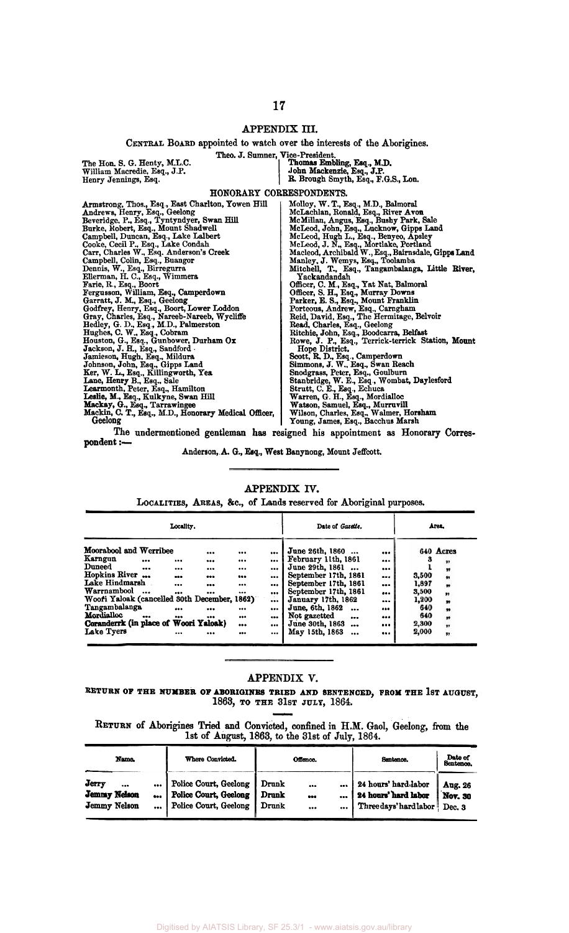## **APPENDIX III.**

#### **CENTRAL BOARD** appointed to watch over **the interests** of the Aborigines.

The Hon. **S.** G. Henty, M.L.C. William Macredie. Esq., J.P. Henry Jennings, Esq.

Theo. J. Sumner, Vice-President.<br>
Thomas Embling, Esq., M.D.<br>
John Mackenzie, Esq., J.P.<br>
R. Brough Smyth, Esq., F.G.S., Lon.

# HONORARY CORRESPONDENTS.

| Armstrong, Thos., Esq., East Charlton, Yowen Hill    | Molloy, W. T., Esq., M.D., Balmoral                                           |
|------------------------------------------------------|-------------------------------------------------------------------------------|
| Andrews, Henry, Esq., Geelong                        | McLachlan, Ronald, Esq., River Avon                                           |
| Beveridge, P., Esq., Tyntyndyer, Swan Hill           | McMillan, Angus, Esq., Bushy Park, Sale                                       |
| Burke, Robert, Esq., Mount Shadwell                  | McLeod, John, Esq., Lucknow, Gipps Land                                       |
| Campbell, Duncan, Esq., Lake Lalbert                 | McLeod, Hugh L., Esq., Benyeo, Apsley                                         |
| Cooke, Cecil P., Esq., Lake Condah                   | McLeod, J. N., Esq., Mortlake, Portland                                       |
| Carr, Charles W., Esq. Anderson's Creek              | Macleod, Archibald W., Esq., Bairnsdale, Gipps Land                           |
| Campbell, Colin, Esq., Buangor                       | Manley, J. Wemys, Esq., Toolamba                                              |
| Dennis, W., Esq., Birregurra                         | Mitchell, T., Esq., Tangambalanga, Little River,                              |
| Ellerman, H. C., Esq., Wimmera                       | Yackandandah                                                                  |
| Farie, R., Esq., Boort                               | Officer, C. M., Esq., Yat Nat, Balmoral                                       |
| Fergusson, William, Esq., Camperdown                 | Officer, S. H., Esq., Murray Downs                                            |
| Garratt, J. M., Esq., Geelong                        | Parker, E. S., Esq., Mount Franklin                                           |
| Godfrey, Henry, Esq., Boort, Lower Loddon            | Porteous, Andrew, Esq., Carngham                                              |
| Gray, Charles, Esq., Nareeb-Nareeb, Wycliffe         | Reid, David, Esq., The Hermitage, Belvoir                                     |
| Hedley, G. D., Esq., M.D., Palmerston                | Read, Charles, Esq., Geelong                                                  |
| Hughes, C. W., Esq., Cobram                          | Ritchie, John, Esq., Boodcarra, Belfast                                       |
| Houston, G., Esq., Gunbower, Durham Ox               | Rowe, J. P., Esq., Terrick-terrick Station, Mount                             |
| Jackson, J. H., Esq., Sandford .                     | Hope District.                                                                |
| Jamieson, Hugh, Esq., Mildura                        | Scott, R. D., Esq., Camperdown                                                |
| Johnson, John, Esq., Gipps Land                      | Simmons, J. W., Esq., Swan Reach                                              |
| Ker, W. L., Esq., Killingworth, Yea                  | Snodgrass, Peter, Esq., Goulburn                                              |
| Lane, Henry B., Esq., Sale                           | Stanbridge, W. E., Esq., Wombat, Daylesford                                   |
| Learmonth, Peter, Esq., Hamilton                     | Strutt, C. E., Esq., Echuca                                                   |
| Leslie, M., Esq., Kulkyne, Swan Hill                 | Warren, G. H., Esq., Mordialloc                                               |
| Mackay, G., Esq., Tarrawingee                        | Watson, Samuel, Esq., Murruvill                                               |
| Mackin, C. T., Esq., M.D., Honorary Medical Officer, | Wilson, Charles, Esq., Walmer, Horsham                                        |
| Geelong                                              | Young, James, Esq., Bacchus Marsh                                             |
|                                                      |                                                                               |
|                                                      | The undermentioned gentleman has resigned his appointment as Honorary Corres- |
| pondent :-                                           |                                                                               |
|                                                      |                                                                               |

Anderson, **A.** G., Esq., West Banynong, Mount Jeffcott.

#### **APPENDIX IV.**

LOCALITIES, AREAS, &c., of Lands reserved for Aboriginal purposes.

|                                              |      | Locality. |          |          | Date of Gazette.                |     |       | Area.          |
|----------------------------------------------|------|-----------|----------|----------|---------------------------------|-----|-------|----------------|
| Moorabool and Werribee                       |      |           | $\cdots$ |          | <br>June 26th, 1860             | $$  |       | 640 Acres      |
| Karngun                                      |      |           |          | $\cdots$ | <br>February 11th, 1861         | $$  |       | ,,             |
| <b>Duneed</b>                                |      |           |          |          | <br>June 29th, 1861<br>$\cdots$ |     |       | $\blacksquare$ |
| <b>Hopkins River</b>                         | $-0$ |           |          |          | <br>September 17th, 1861        |     | 3,500 | ,,             |
| Lake Hindmarsh                               |      |           |          |          | <br>September 17th, 1861        | --- | 1,897 | Ħ              |
| Warrnambool                                  |      |           |          | $\cdots$ | <br>September 17th, 1861        | $$  | 3,500 | ,,             |
| Woofi Yaloak (cancelled 30th December, 1862) |      |           |          |          | <br>January 17th, 1862          |     | 1,200 |                |
| Tangambalanga                                |      |           |          |          | <br>June, 6th, 1862<br>$\cdots$ |     | 640   | $\bullet$      |
| Mordialloc                                   | $$   |           |          |          | <br>Not gazetted<br>            | $$  | 640   | ,,             |
| Coranderrk (in place of Woori Yaloak)        |      |           |          |          | <br>June 30th, 1863<br>         |     | 2,300 | ,,             |
| Lake Tyers                                   |      |           |          |          | <br>May 15th, 1863<br>$\cdots$  |     | 2,000 | ,,             |

#### APPENDIX **V.**

# 1863, **TO THE 31s~ JULY,** 1864. **RETURN OF TEE NUMBER OF ABORIQINES TRIED AND SENTENCED, FROM TEE 1ST AUQUST,**  ENDIX V.<br>
"RIED AND<br>
31st JUL<br>
ted. confin

|                                                  | 1863, TO THE 31st JULY, 1864.<br>RETURN of Aborigines Tried and Convicted, confined in H.M. Gaol, Geelong, from the<br>1st of August, 1863, to the 31st of July, 1864. |                                                                         |                         |                                 |                  |                                                                        |                              |  |  |  |  |  |
|--------------------------------------------------|------------------------------------------------------------------------------------------------------------------------------------------------------------------------|-------------------------------------------------------------------------|-------------------------|---------------------------------|------------------|------------------------------------------------------------------------|------------------------------|--|--|--|--|--|
| Name.                                            |                                                                                                                                                                        | Where Convicted.                                                        |                         | Offsnce.                        |                  | Sentence.                                                              | Date of<br>Sentence.         |  |  |  |  |  |
| Jerry<br><br><b>Jemmy Nelson</b><br>Jemmy Nelson | $\bullet\bullet\bullet$<br>200<br>$\bullet\bullet\bullet$                                                                                                              | Police Court, Geelong<br>Police Court, Geelong<br>Police Court, Geelong | Drunk<br>Drunk<br>Drunk | <br>$\bullet\bullet\bullet$<br> | <br>$\cdots$<br> | 24 hours' hard labor<br>24 hours' hard labor<br>Three days' hard labor | Aug. 26<br>Nov. 30<br>Dec. 3 |  |  |  |  |  |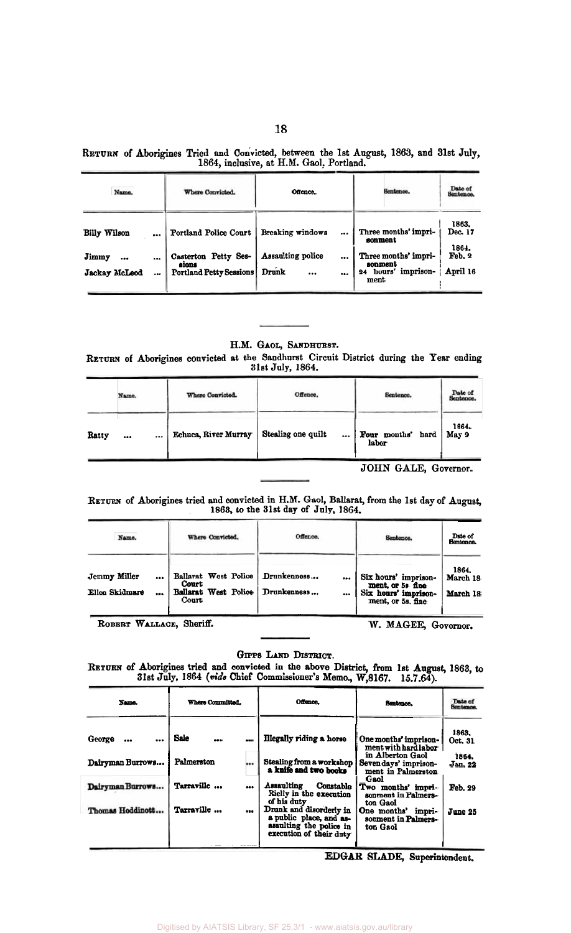|  |  |                                          |  | RETURN of Aborigines Tried and Convicted, between the 1st August, 1863, and 31st July, |  |  |
|--|--|------------------------------------------|--|----------------------------------------------------------------------------------------|--|--|
|  |  | 1864, inclusive, at H.M. Gaol, Portland. |  |                                                                                        |  |  |

| Name.               |      | Where Convicted.               | Offence.                       | Sentence.                       | Date of<br><b>Sentence</b> |  |  |
|---------------------|------|--------------------------------|--------------------------------|---------------------------------|----------------------------|--|--|
| <b>Billy Wilson</b> |      | Portland Police Court          | Breaking windows<br>$\cdots$   | Three months' impri-<br>sonment | 1863.<br>Dec. 17<br>1864.  |  |  |
| Jimmy<br>           |      | Casterton Petty Ses-<br>sions  | Assaulting police<br>$\cdots$  | Three months' impri-<br>sonment | Feb. 2                     |  |  |
| Jackay McLeod       | $-0$ | <b>Portland Petty Sessions</b> | Drunk<br>$\cdots$<br>$\ddotsc$ | 24 hours' imprison-<br>ment     | April 16                   |  |  |

## H.M. **GAOL, SANDHURST.**

**RETURN of** Aborigines convicted **at** the Sandhurst Circuit Diatrict during the Year ending **31st** July, **1864.** 

|       | Name. | Where Convicted.     | Offence.                       | Sentence.                     | <b>Pate of</b><br>Sentence. |
|-------|-------|----------------------|--------------------------------|-------------------------------|-----------------------------|
| Ratty | <br>  | Echuca, River Murray | Stealing one quilt<br>$\cdots$ | Four months'<br>hard<br>labor | 1864,<br>May 9              |
|       |       |                      |                                | JOHN GALE, Governor.          |                             |

#### **RETURN of** Aborigines tried and convicted **in H.M.** Gaol, Ballarat, from the **1st** day of August, 1863, to the 31st day of **July,** 1864.

| Name.                          |              | Where Convicted.                                               | Offence.                           | Sentence.                                                                             | Date of<br>Sentence.          |
|--------------------------------|--------------|----------------------------------------------------------------|------------------------------------|---------------------------------------------------------------------------------------|-------------------------------|
| Jemmy Miller<br>Ellen Skidmare | <br>         | Ballarat West Police<br>Court<br>Ballarat West Police<br>Court | Drunkenness<br><br>Drunkenness<br> | Six hours' imprison-<br>ment, or 5s fine<br>Six hours' imprison-<br>ment, or 5s, fine | 1864.<br>March 18<br>March 18 |
| $\overline{\phantom{a}}$       | $\mathbf{v}$ | $\sim$ $\sim$                                                  |                                    |                                                                                       |                               |

ROBERT WALLACE, Sheriff. **W. MAGEE, Governor.** 

GIPPS LAND DISTRICT.

|                                                                            |                                                                                                          | unis <i>dand di</i> biadh.<br>RETURN of Aborigines tried and convicted in the above District, from 1st August, 1863, to<br>31st July, 1864 (vide Chief Commissioner's Memo., W,8167. 15.7.64).                                                                        |                                                                                                                                                                                                                                           |                                                            |
|----------------------------------------------------------------------------|----------------------------------------------------------------------------------------------------------|-----------------------------------------------------------------------------------------------------------------------------------------------------------------------------------------------------------------------------------------------------------------------|-------------------------------------------------------------------------------------------------------------------------------------------------------------------------------------------------------------------------------------------|------------------------------------------------------------|
| Name.                                                                      | Where Committed.                                                                                         | Offence.                                                                                                                                                                                                                                                              | Sentence.                                                                                                                                                                                                                                 | Date of<br>Sentence.                                       |
| George<br><br><br>Dairyman Burrows<br>Dairyman Burrows<br>Thomas Hoddinott | Sale<br>$\bullet\bullet\bullet$<br>Palmerston<br>Tarraville<br>$\bullet\bullet\bullet$<br>Tarraville<br> | <b>Illegally riding a horse</b><br>Stealing from a workshop<br>a knife and two books<br>Assaulting<br>Constable<br>Rielly in the execution<br>of his duty<br>Drunk and disorderly in<br>a public place, and as-<br>asaulting the police in<br>execution of their duty | One months' imprison-<br>ment with hard labor<br>in Alberton Gaol<br>Sevendays' imprison-<br>ment in Palmerston<br>Gaol<br>Two months' impri-<br>sonment in Palmers-<br>ton Gaol<br>One months' impri-<br>sonment in Palmers-<br>ton Gaol | 1863.<br>Oct. 31<br>1864.<br>Jan. 22<br>Feb. 29<br>June 25 |

*EDGAR* **SI,A.DE, Superintendent.**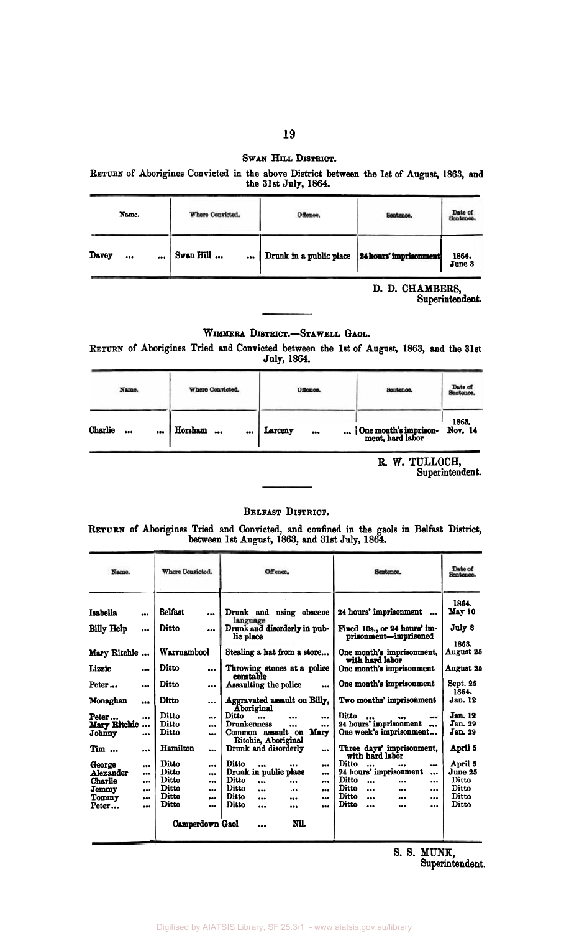## SWAN HILL DISTRICT.

RETURN of Aborigines Convicted in the above District between the 1st of August, 1863, and the 31st July, 1864.

| Name.         | Where Convicted. | Offence,                | Sentence.              | Date of<br>Sentence. |
|---------------|------------------|-------------------------|------------------------|----------------------|
| Davey<br><br> | Swan Hill<br>    | Drunk in a public place | 24 hours' imprisonment | 1864.<br>June 3      |

D. D. CHAMBERS,<br>Superintendent.

## WIMMERA DISTRICT.-STAWELL GAOL.

RETURN of Aborigines Tried and Convicted between the 1st of August, 1863, and the 31st July, 1864.

| Name.                      | Where Convicted.                                | Offence.    | Sentence.                                 | Date of<br>Sentence. |
|----------------------------|-------------------------------------------------|-------------|-------------------------------------------|----------------------|
| <b>Charlie</b><br>1.10<br> | Horsham<br>$\ddotsc$<br>$\bullet\bullet\bullet$ | Larceny<br> | One month's imprison-<br>ment, hard labor | 1863.<br>Nov. 14     |

R. W. TULLOCH,<br>Superintendent.

## BELFAST DISTRICT.

RETURN of Aborigines Tried and Convicted, and confined in the gaols in Belfast District, between 1st August, 1863, and 31st July, 1864.

| Where Convicted.<br>Name. |                         |                 | Offence.  |                                            | Sentence. | Date of<br>Sentence.                                  |                   |
|---------------------------|-------------------------|-----------------|-----------|--------------------------------------------|-----------|-------------------------------------------------------|-------------------|
| Isabella                  | $\bullet$               | <b>Belfast</b>  | $\cdots$  | Drunk and using obscene<br>language        |           | 24 hours' imprisonment                                | 1864.<br>May 10   |
| <b>Billy Help</b>         | $\bullet\bullet\bullet$ | Ditto           |           | Drunk and disorderly in pub-<br>lic place  |           | Fined 10s., or 24 hours' im-<br>prisonment-imprisoned | July 8<br>1863.   |
| Mary Ritchie              |                         | Warrnambool     |           | Stealing a hat from a store                |           | One month's imprisonment,<br>with hard labor          | August 25         |
| Lizzie                    |                         | Ditto           |           | Throwing stones at a police<br>constable   |           | One month's imprisonment                              | <b>August 25</b>  |
| Peter                     | $\bullet$               | Ditto           |           | Assaulting the police                      |           | One month's imprisonment                              | Sept. 25<br>1864. |
| Monaghan                  |                         | Ditto           | $\cdots$  | Aggravated assault on Billy.<br>Aboriginal |           | Two months' imprisonment                              | Jan. 12           |
| Peter                     |                         | Ditto           | $\cdots$  | Ditto<br>$\ddotsc$<br>                     | $\cdots$  | Ditto<br><br>---                                      | <b>Jan. 12</b>    |
| Mary Ritchie              |                         | Ditto           | $\cdots$  | Drunkenness<br>$\cdots$                    |           | 24 hours' imprisonment<br>$\bullet$                   | Jan. 29           |
| Johnny                    |                         | Ditto           |           | Common assault on<br>Ritchie, Aboriginal   | Mary      | One week's imprisonment                               | Jan. 29           |
| $Tim \dots$               |                         | Hamilton        | $\cdots$  | Drunk and disorderly                       |           | Three days' imprisonment,<br>with hard labor          | April 5           |
| George                    |                         | Ditto           |           | Ditto<br><br>                              |           | Ditto<br>$\overline{\phantom{a}}$<br><br>             | April 5           |
| Alexander                 | $\cdots$                | Ditto           | $\bullet$ | Drunk in public place                      | $\cdots$  | 24 hours' imprisonment<br>$\ddotsc$                   | June 25           |
| Charlie                   |                         | Ditto           | $\cdots$  | Ditto<br>$\ddot{\phantom{a}}$<br>$\cdots$  |           | Ditto<br>$\ddot{\phantom{a}}$<br>$\cdots$<br>         | Ditto             |
| Jemmy                     |                         | Ditto           |           | <b>Ditto</b><br>$\ddotsc$<br>$\ddotsc$     |           | Ditto<br>$\ddotsc$<br><br>                            | Ditto             |
| Tommy                     |                         | Ditto           | $\bullet$ | Ditto<br>$\ddot{\phantom{a}}$<br>$\bullet$ |           | Ditto<br>$\cdots$<br><br>                             | Ditto             |
| Peter                     |                         | <b>Ditto</b>    |           | Ditto<br>$\bullet$<br>                     |           | Ditto<br>$\ddotsc$<br>$\bullet$<br>                   | Ditto             |
|                           |                         | Camperdown Gaol |           | Nil.<br>                                   |           |                                                       |                   |

S. S. MUNK,<br>Superintendent.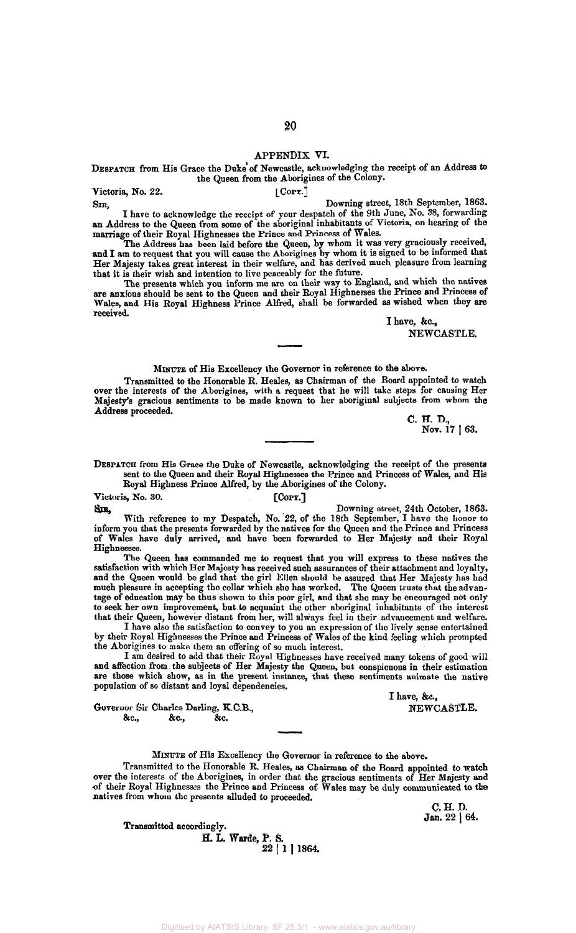#### **APPENDIX** VI.

## DESPATCH from His Grace the Duke of Newcastle, acknowledging the receipt of an Address to the Queen from the Aborigines of the Colony.

Victoria, No. 22. [COPY.] *SI%* Downing street, 18th September, 1863.

I have to acknowledge the receipt of your despatch of the 9th June, No. 38, forwarding an Address to the Queen from some of the aboriginal inhabitants of Victoria, on hearing of the marriage of their Royal Highnesses the Prince and Princess of Wales.

The Address has been laid before the Queen, by whom it was very graciously received,<br> **and I** am to request that you will cause the Aborigines by whom it is signed to be informed that Her Majesty takes great interest in their welfare, and has derived much pleasure from learning that it is their wish and intention to live peaceably for the future.

The presents which you inform me are on their way to **England,** and which the natives are anxious should be sent to the Queen and their Royal Highnesses the Prince and Princess of Wales, and His Royal Highness Prince Alfred, shall be forwarded **as** wished when they **are**  received. because on their wine<br>their Royal I<br>fred, shall be

I have, &c., NEWCASTLE.

MINUTE of His Excellency the Governor in reference to the above.

Transmitted to the Honorable R. Heales, as Chairman of the Board appointed to watch over the interests of the Aborigines, with a request that he will take steps for causing Her Majesty's gracious sentiments to be made known to her aboriginal subjects from whom the Address proceeded. C. H. D.

**C. H. D.**, Nov. 17 | 63.

DESPATCH from His Grace the Duke of Newcastle, acknowledging the receipt of the presents sent to the Queen and their Royal Highnesses the Prince and Princess of Wales, and His Royal Highness Prince Alfred, by the Aborigines of the Colony.

Victoria, No. 30. **[COPY.] m%** Downing street, 24th October, 1863. With reference to my Despatch, No. 22, of the 18th September, I have the honor **to** 

inform you that the presents forwarded by the natives for the Queen and the Prince and Princess of Wales have duly arrived, **and** have been forwarded to Her Majesty and their Royal Highnesses.

The Queen has commanded me to request that you will express to these natives the satisfaction with which Her Majesty has received such assurances of their attachment and loyalty, and the Queen would be glad that the girl Ellen should be assured that Her Majesty has had much pleasure in accepting the collar which she has worked. The Queen trusts that the advantage of education may be thus shown to this poor girl, and that she may be encouraged not only **to** seek her own improvement, but to acquaint the other aboriginal inhabitants of the interest that their Queen, however distant from her, will always feel in their advancement and welfare. I have **also** the satisfaction to convey to you an expression of the lively sense entertained

by their Royal Highnesses the Prince and Princess of Wales of the kind feeling which prompted the Aborigines to make them an offering of so much interest.

I am desired to add that their Royal Highnesses have received many tokens of good will and affection from the subjects of Her Majesty the Queen, but conspicuous in their estimation are those which show, as in the present instance, that these sentiments animate the native population of so distant and loyal dependencies. sty the Queer<br>
nstance, that<br>
es.

Governor Sir Charles Darling, K.C.B., &c., &c. &C., **&C.,** &C.

I have, &c., NEWCASTLE.

**MINUTE** of His Excellency the Governor in reference to the above.

Transmitted to the Honorable R. Heales, as Chairman of the Board appointed to watch over the interests of the Aborigines, in order that the gracious sentiments of Her Majesty **and**  of their Royal Highnesses the Prince and Princess of Wales may be duly communicated to the natives from whom the presents alluded **to** proceeded.

Transmitted accordingly. H. L. Warde, P. **S. 22 11 11864.** 

C. H. **D. Jan.** 22 I *64.*